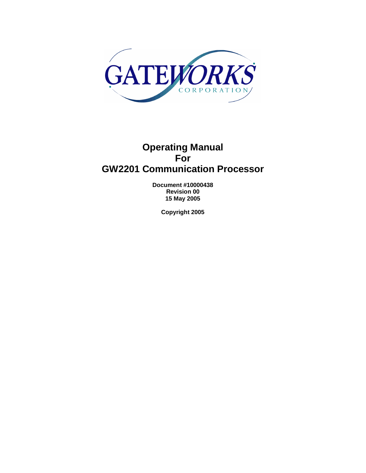

# **Operating Manual For GW2201 Communication Processor**

**Document #10000438 Revision 00 15 May 2005** 

**Copyright 2005**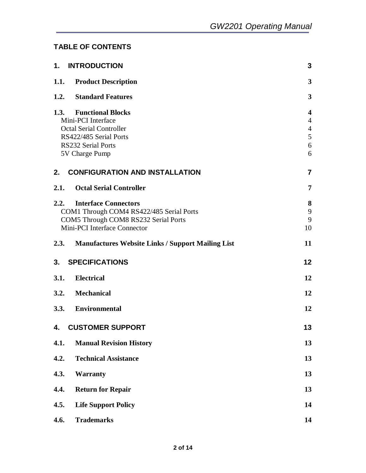### **TABLE OF CONTENTS**

|      | 1. INTRODUCTION                                          | 3                       |
|------|----------------------------------------------------------|-------------------------|
|      | 1.1. Product Description                                 | $\mathbf{3}$            |
|      | 1.2. Standard Features                                   | 3                       |
|      | 1.3. Functional Blocks                                   | $\overline{\mathbf{4}}$ |
|      | Mini-PCI Interface                                       | $\overline{4}$          |
|      | <b>Octal Serial Controller</b><br>RS422/485 Serial Ports | $\overline{4}$<br>5     |
|      | <b>RS232 Serial Ports</b>                                | 6                       |
|      | 5V Charge Pump                                           | 6                       |
| 2.   | <b>CONFIGURATION AND INSTALLATION</b>                    | $\overline{7}$          |
|      | 2.1. Octal Serial Controller                             | $\overline{7}$          |
| 2.2. | <b>Interface Connectors</b>                              | 8                       |
|      | COM1 Through COM4 RS422/485 Serial Ports                 | 9                       |
|      | COM5 Through COM8 RS232 Serial Ports                     | 9                       |
|      | Mini-PCI Interface Connector                             | 10                      |
|      | 2.3. Manufactures Website Links / Support Mailing List   | 11                      |
| 3.   | <b>SPECIFICATIONS</b>                                    | 12                      |
| 3.1. | <b>Electrical</b>                                        | 12                      |
|      | 3.2. Mechanical                                          | 12                      |
|      | 3.3. Environmental                                       | 12                      |
|      | 4. CUSTOMER SUPPORT                                      | 13                      |
| 4.1. | <b>Manual Revision History</b>                           | 13                      |
| 4.2. | <b>Technical Assistance</b>                              | 13                      |
| 4.3. | <b>Warranty</b>                                          | 13                      |
| 4.4. | <b>Return for Repair</b>                                 | 13                      |
| 4.5. | <b>Life Support Policy</b>                               | 14                      |
| 4.6. | <b>Trademarks</b>                                        | 14                      |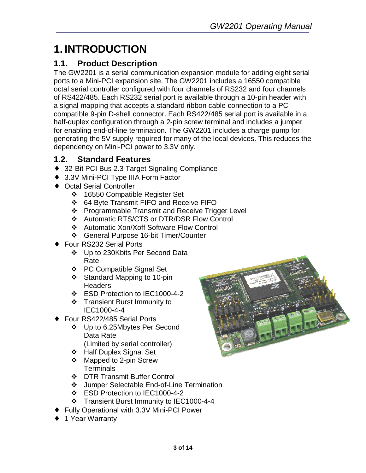# **1. INTRODUCTION**

# **1.1. Product Description**

The GW2201 is a serial communication expansion module for adding eight serial ports to a Mini-PCI expansion site. The GW2201 includes a 16550 compatible octal serial controller configured with four channels of RS232 and four channels of RS422/485. Each RS232 serial port is available through a 10-pin header with a signal mapping that accepts a standard ribbon cable connection to a PC compatible 9-pin D-shell connector. Each RS422/485 serial port is available in a half-duplex configuration through a 2-pin screw terminal and includes a jumper for enabling end-of-line termination. The GW2201 includes a charge pump for generating the 5V supply required for many of the local devices. This reduces the dependency on Mini-PCI power to 3.3V only.

## **1.2. Standard Features**

- ◆ 32-Bit PCI Bus 2.3 Target Signaling Compliance
- ♦ 3.3V Mini-PCI Type IIIA Form Factor
- ♦ Octal Serial Controller
	- **❖** 16550 Compatible Register Set
	- 64 Byte Transmit FIFO and Receive FIFO
	- ❖ Programmable Transmit and Receive Trigger Level
	- Automatic RTS/CTS or DTR/DSR Flow Control
	- ❖ Automatic Xon/Xoff Software Flow Control
	- General Purpose 16-bit Timer/Counter
- Four RS232 Serial Ports
	- Up to 230Kbits Per Second Data Rate
	- PC Compatible Signal Set
	- ❖ Standard Mapping to 10-pin **Headers**
	- ESD Protection to IEC1000-4-2
	- Transient Burst Immunity to IEC1000-4-4
- Four RS422/485 Serial Ports
	- Up to 6.25Mbytes Per Second Data Rate (Limited by serial controller)
	- Half Duplex Signal Set
	- Mapped to 2-pin Screw **Terminals**
	- **❖** DTR Transmit Buffer Control
	- Jumper Selectable End-of-Line Termination
	- ESD Protection to IEC1000-4-2
	- Transient Burst Immunity to IEC1000-4-4
- **Fully Operational with 3.3V Mini-PCI Power**
- ◆ 1 Year Warranty

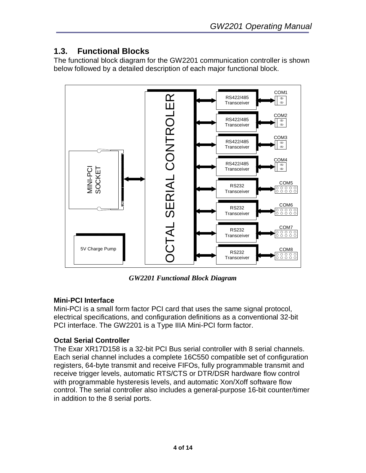# **1.3. Functional Blocks**

The functional block diagram for the GW2201 communication controller is shown below followed by a detailed description of each major functional block.



*GW2201 Functional Block Diagram* 

### **Mini-PCI Interface**

Mini-PCI is a small form factor PCI card that uses the same signal protocol, electrical specifications, and configuration definitions as a conventional 32-bit PCI interface. The GW2201 is a Type IIIA Mini-PCI form factor.

### **Octal Serial Controller**

The Exar XR17D158 is a 32-bit PCI Bus serial controller with 8 serial channels. Each serial channel includes a complete 16C550 compatible set of configuration registers, 64-byte transmit and receive FIFOs, fully programmable transmit and receive trigger levels, automatic RTS/CTS or DTR/DSR hardware flow control with programmable hysteresis levels, and automatic Xon/Xoff software flow control. The serial controller also includes a general-purpose 16-bit counter/timer in addition to the 8 serial ports.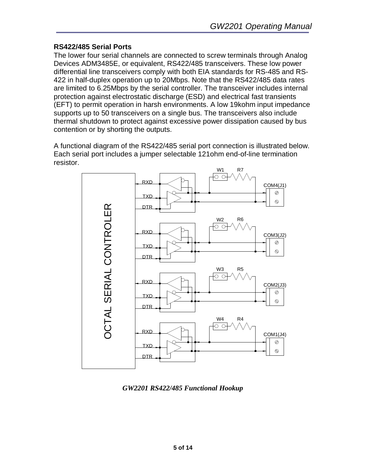### **RS422/485 Serial Ports**

The lower four serial channels are connected to screw terminals through Analog Devices ADM3485E, or equivalent, RS422/485 transceivers. These low power differential line transceivers comply with both EIA standards for RS-485 and RS-422 in half-duplex operation up to 20Mbps. Note that the RS422/485 data rates are limited to 6.25Mbps by the serial controller. The transceiver includes internal protection against electrostatic discharge (ESD) and electrical fast transients (EFT) to permit operation in harsh environments. A low 19kohm input impedance supports up to 50 transceivers on a single bus. The transceivers also include thermal shutdown to protect against excessive power dissipation caused by bus contention or by shorting the outputs.

A functional diagram of the RS422/485 serial port connection is illustrated below. Each serial port includes a jumper selectable 121ohm end-of-line termination resistor.



*GW2201 RS422/485 Functional Hookup*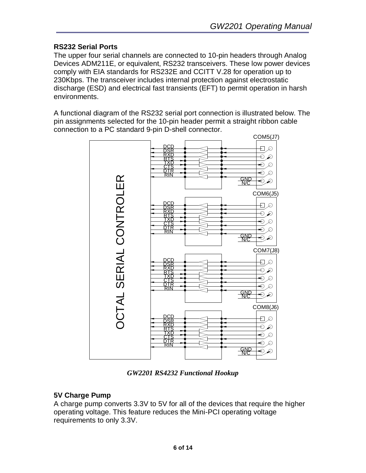### **RS232 Serial Ports**

The upper four serial channels are connected to 10-pin headers through Analog Devices ADM211E, or equivalent, RS232 transceivers. These low power devices comply with EIA standards for RS232E and CCITT V.28 for operation up to 230Kbps. The transceiver includes internal protection against electrostatic discharge (ESD) and electrical fast transients (EFT) to permit operation in harsh environments.

A functional diagram of the RS232 serial port connection is illustrated below. The pin assignments selected for the 10-pin header permit a straight ribbon cable connection to a PC standard 9-pin D-shell connector.



*GW2201 RS4232 Functional Hookup* 

### **5V Charge Pump**

A charge pump converts 3.3V to 5V for all of the devices that require the higher operating voltage. This feature reduces the Mini-PCI operating voltage requirements to only 3.3V.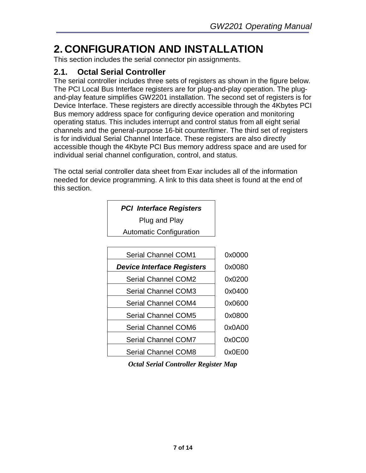# **2. CONFIGURATION AND INSTALLATION**

This section includes the serial connector pin assignments.

### **2.1. Octal Serial Controller**

The serial controller includes three sets of registers as shown in the figure below. The PCI Local Bus Interface registers are for plug-and-play operation. The plugand-play feature simplifies GW2201 installation. The second set of registers is for Device Interface. These registers are directly accessible through the 4Kbytes PCI Bus memory address space for configuring device operation and monitoring operating status. This includes interrupt and control status from all eight serial channels and the general-purpose 16-bit counter/timer. The third set of registers is for individual Serial Channel Interface. These registers are also directly accessible though the 4Kbyte PCI Bus memory address space and are used for individual serial channel configuration, control, and status.

The octal serial controller data sheet from Exar includes all of the information needed for device programming. A link to this data sheet is found at the end of this section.

| <b>PCI Interface Registers</b> |  |
|--------------------------------|--|
|                                |  |

Plug and Play

Automatic Configuration

| <b>Serial Channel COM1</b>        | 0x0000 |
|-----------------------------------|--------|
| <b>Device Interface Registers</b> | 0x0080 |
| <b>Serial Channel COM2</b>        | 0x0200 |
| <b>Serial Channel COM3</b>        | 0x0400 |
| <b>Serial Channel COM4</b>        | 0x0600 |
| <b>Serial Channel COM5</b>        | 0x0800 |
| <b>Serial Channel COM6</b>        | 0x0A00 |
| <b>Serial Channel COM7</b>        | 0x0C00 |
| <b>Serial Channel COM8</b>        | 0x0E00 |

*Octal Serial Controller Register Map*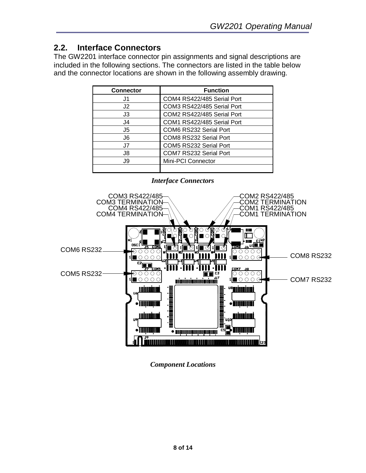## **2.2. Interface Connectors**

The GW2201 interface connector pin assignments and signal descriptions are included in the following sections. The connectors are listed in the table below and the connector locations are shown in the following assembly drawing.

| <b>Connector</b> | <b>Function</b>            |
|------------------|----------------------------|
| J1               | COM4 RS422/485 Serial Port |
| J2               | COM3 RS422/485 Serial Port |
| J3               | COM2 RS422/485 Serial Port |
| J4               | COM1 RS422/485 Serial Port |
| J5               | COM6 RS232 Serial Port     |
| J6               | COM8 RS232 Serial Port     |
| J7               | COM5 RS232 Serial Port     |
| J8               | COM7 RS232 Serial Port     |
| J9               | Mini-PCI Connector         |
|                  |                            |



*Component Locations*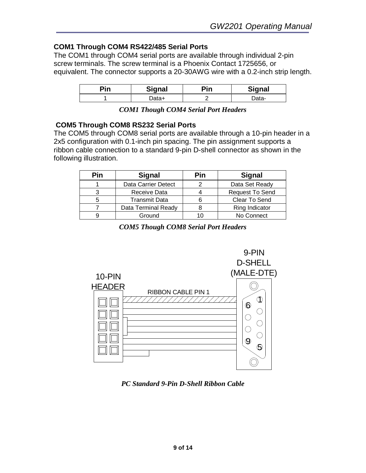### **COM1 Through COM4 RS422/485 Serial Ports**

The COM1 through COM4 serial ports are available through individual 2-pin screw terminals. The screw terminal is a Phoenix Contact 1725656, or equivalent. The connector supports a 20-30AWG wire with a 0.2-inch strip length.

| nin. | <b>Signal</b> | 'in | <b>Signal</b> |
|------|---------------|-----|---------------|
|      |               |     | -ata-         |

| <b>COM1 Though COM4 Serial Port Headers</b> |  |  |  |  |  |
|---------------------------------------------|--|--|--|--|--|
|---------------------------------------------|--|--|--|--|--|

#### **COM5 Through COM8 RS232 Serial Ports**

The COM5 through COM8 serial ports are available through a 10-pin header in a 2x5 configuration with 0.1-inch pin spacing. The pin assignment supports a ribbon cable connection to a standard 9-pin D-shell connector as shown in the following illustration.

| Pin | <b>Signal</b>              | Pin | <b>Signal</b>          |
|-----|----------------------------|-----|------------------------|
|     | <b>Data Carrier Detect</b> |     | Data Set Ready         |
| ว   | Receive Data               |     | <b>Request To Send</b> |
| 5   | <b>Transmit Data</b>       |     | Clear To Send          |
|     | Data Terminal Ready        |     | Ring Indicator         |
|     | Ground                     |     | No Connect             |

*COM5 Though COM8 Serial Port Headers* 



*PC Standard 9-Pin D-Shell Ribbon Cable*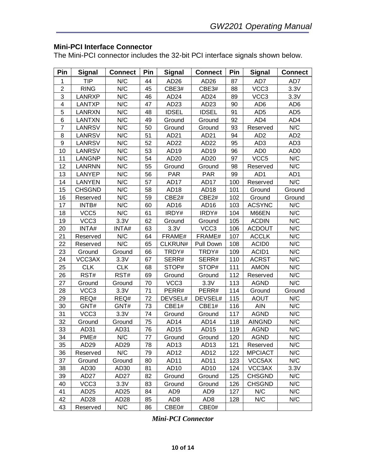#### **Mini-PCI Interface Connector**

The Mini-PCI connector includes the 32-bit PCI interface signals shown below.

| Pin            | <b>Signal</b>    | <b>Connect</b>   | Pin | <b>Signal</b>    | <b>Connect</b>   | Pin | <b>Signal</b>     | <b>Connect</b>  |
|----------------|------------------|------------------|-----|------------------|------------------|-----|-------------------|-----------------|
| 1              | <b>TIP</b>       | N/C              | 44  | AD <sub>26</sub> | AD26             | 87  | AD7               | AD7             |
| $\overline{2}$ | <b>RING</b>      | N/C              | 45  | CBE3#            | CBE3#            | 88  | VCC3              | 3.3V            |
| 3              | LANRXP           | N/C              | 46  | AD <sub>24</sub> | AD <sub>24</sub> | 89  | VCC <sub>3</sub>  | 3.3V            |
| 4              | <b>LANTXP</b>    | N/C              | 47  | AD <sub>23</sub> | AD23             | 90  | AD <sub>6</sub>   | AD <sub>6</sub> |
| 5              | LANRXN           | N/C              | 48  | <b>IDSEL</b>     | <b>IDSEL</b>     | 91  | AD <sub>5</sub>   | AD <sub>5</sub> |
| 6              | <b>LANTXN</b>    | N/C              | 49  | Ground           | Ground           | 92  | AD4               | AD4             |
| $\overline{7}$ | LANRSV           | N/C              | 50  | Ground           | Ground           | 93  | Reserved          | N/C             |
| 8              | LANRSV           | N/C              | 51  | AD21             | AD21             | 94  | AD <sub>2</sub>   | AD <sub>2</sub> |
| 9              | <b>LANRSV</b>    | N/C              | 52  | AD <sub>22</sub> | AD22             | 95  | AD <sub>3</sub>   | AD <sub>3</sub> |
| 10             | <b>LANRSV</b>    | N/C              | 53  | AD19             | AD <sub>19</sub> | 96  | AD <sub>0</sub>   | AD <sub>0</sub> |
| 11             | <b>LANGNP</b>    | N/C              | 54  | AD20             | AD20             | 97  | VCC <sub>5</sub>  | N/C             |
| 12             | <b>LANRNN</b>    | N/C              | 55  | Ground           | Ground           | 98  | Reserved          | N/C             |
| 13             | LANYEP           | N/C              | 56  | PAR              | <b>PAR</b>       | 99  | AD1               | AD1             |
| 14             | LANYEN           | N/C              | 57  | AD17             | <b>AD17</b>      | 100 | Reserved          | N/C             |
| 15             | <b>CHSGND</b>    | N/C              | 58  | AD <sub>18</sub> | AD18             | 101 | Ground            | Ground          |
| 16             | Reserved         | N/C              | 59  | CBE2#            | CBE2#            | 102 | Ground            | Ground          |
| 17             | INTB#            | N/C              | 60  | AD <sub>16</sub> | AD16             | 103 | <b>ACSYNC</b>     | N/C             |
| 18             | VCC <sub>5</sub> | N/C              | 61  | IRDY#            | IRDY#            | 104 | M66EN             | N/C             |
| 19             | VCC <sub>3</sub> | 3.3V             | 62  | Ground           | Ground           | 105 | <b>ACDIN</b>      | N/C             |
| 20             | INTA#            | INTA#            | 63  | 3.3V             | VCC3             | 106 | <b>ACDOUT</b>     | N/C             |
| 21             | Reserved         | N/C              | 64  | FRAME#           | FRAME#           | 107 | <b>ACCLK</b>      | N/C             |
| 22             | Reserved         | N/C              | 65  | CLKRUN#          | Pull Down        | 108 | ACID <sub>0</sub> | N/C             |
| 23             | Ground           | Ground           | 66  | TRDY#            | TRDY#            | 109 | ACID1             | N/C             |
| 24             | VCC3AX           | 3.3V             | 67  | SERR#            | SERR#            | 110 | <b>ACRST</b>      | N/C             |
| 25             | <b>CLK</b>       | <b>CLK</b>       | 68  | STOP#            | STOP#            | 111 | <b>AMON</b>       | N/C             |
| 26             | RST#             | RST#             | 69  | Ground           | Ground           | 112 | Reserved          | N/C             |
| 27             | Ground           | Ground           | 70  | VCC <sub>3</sub> | 3.3V             | 113 | <b>AGND</b>       | N/C             |
| 28             | VCC <sub>3</sub> | 3.3V             | 71  | PERR#            | PERR#            | 114 | Ground            | Ground          |
| 29             | REQ#             | REQ#             | 72  | DEVSEL#          | DEVSEL#          | 115 | <b>AOUT</b>       | N/C             |
| 30             | GNT#             | GNT#             | 73  | CBE1#            | CBE1#            | 116 | <b>AIN</b>        | N/C             |
| 31             | VCC <sub>3</sub> | 3.3V             | 74  | Ground           | Ground           | 117 | <b>AGND</b>       | N/C             |
| 32             | Ground           | Ground           | 75  | AD <sub>14</sub> | AD <sub>14</sub> | 118 | <b>AINGND</b>     | N/C             |
| 33             | AD31             | AD31             | 76  | AD15             | AD15             | 119 | <b>AGND</b>       | N/C             |
| 34             | PME#             | N/C              | 77  | Ground           | Ground           | 120 | <b>AGND</b>       | N/C             |
| 35             | AD <sub>29</sub> | AD <sub>29</sub> | 78  | AD <sub>13</sub> | AD13             | 121 | Reserved          | N/C             |
| 36             | Reserved         | N/C              | 79  | AD <sub>12</sub> | AD12             | 122 | <b>MPCIACT</b>    | N/C             |
| 37             | Ground           | Ground           | 80  | AD <sub>11</sub> | AD11             | 123 | VCC5AX            | N/C             |
| 38             | AD <sub>30</sub> | AD <sub>30</sub> | 81  | AD10             | AD10             | 124 | VCC3AX            | 3.3V            |
| 39             | AD <sub>27</sub> | AD27             | 82  | Ground           | Ground           | 125 | <b>CHSGND</b>     | N/C             |
| 40             | VCC <sub>3</sub> | 3.3V             | 83  | Ground           | Ground           | 126 | <b>CHSGND</b>     | N/C             |
| 41             | AD <sub>25</sub> | AD <sub>25</sub> | 84  | AD <sub>9</sub>  | AD <sub>9</sub>  | 127 | N/C               | N/C             |
| 42             | AD <sub>28</sub> | AD <sub>28</sub> | 85  | AD <sub>8</sub>  | AD <sub>8</sub>  | 128 | N/C               | N/C             |
| 43             | Reserved         | N/C              | 86  | CBE0#            | CBE0#            |     |                   |                 |

*Mini-PCI Connector*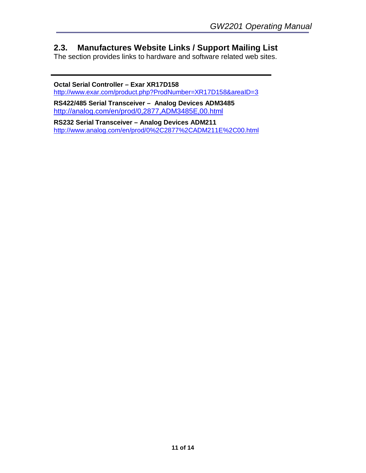### **2.3. Manufactures Website Links / Support Mailing List**

The section provides links to hardware and software related web sites.

**Octal Serial Controller – Exar XR17D158**  http://www.exar.com/product.php?ProdNumber=XR17D158&areaID=3

**RS422/485 Serial Transceiver – Analog Devices ADM3485**  http://analog.com/en/prod/0,2877,ADM3485E,00.html

**RS232 Serial Transceiver – Analog Devices ADM211**  http://www.analog.com/en/prod/0%2C2877%2CADM211E%2C00.html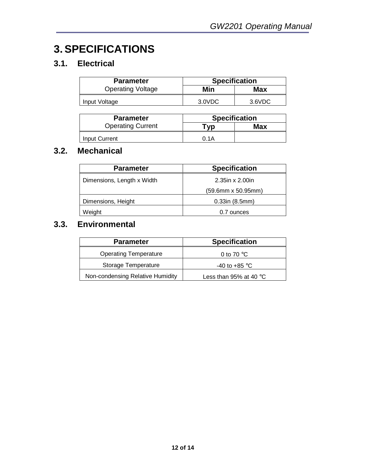# **3. SPECIFICATIONS**

# **3.1. Electrical**

| <b>Parameter</b>         | <b>Specification</b> |        |  |  |
|--------------------------|----------------------|--------|--|--|
| <b>Operating Voltage</b> | Min                  | Max    |  |  |
| Input Voltage            | 3.0VDC               | 3.6VDC |  |  |

| <b>Parameter</b>         | <b>Specification</b> |     |  |
|--------------------------|----------------------|-----|--|
| <b>Operating Current</b> | "vp                  | Max |  |
| Input Current            | 0.1A                 |     |  |

## **3.2. Mechanical**

| <b>Parameter</b>           | <b>Specification</b>    |
|----------------------------|-------------------------|
| Dimensions, Length x Width | $2.35$ in x $2.00$ in   |
|                            | (59.6mm x 50.95mm)      |
| Dimensions, Height         | $0.33$ in $(8.5$ mm $)$ |
| Weight                     | 0.7 ounces              |

# **3.3. Environmental**

| <b>Parameter</b>                 | <b>Specification</b>             |
|----------------------------------|----------------------------------|
| <b>Operating Temperature</b>     | 0 to 70 $\degree$ C              |
| Storage Temperature              | -40 to +85 $\mathrm{^{\circ}C}$  |
| Non-condensing Relative Humidity | Less than 95% at 40 $^{\circ}$ C |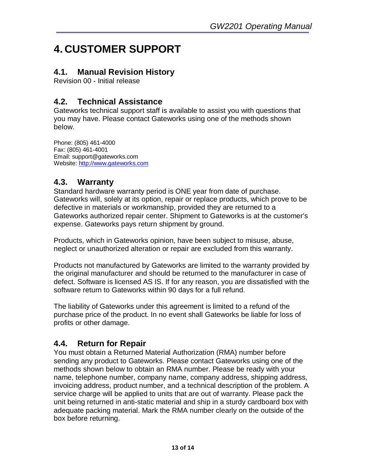# **4. CUSTOMER SUPPORT**

# **4.1. Manual Revision History**

Revision 00 - Initial release

# **4.2. Technical Assistance**

Gateworks technical support staff is available to assist you with questions that you may have. Please contact Gateworks using one of the methods shown below.

Phone: (805) 461-4000 Fax: (805) 461-4001 Email: support@gateworks.com Website: http://www.gateworks.com

### **4.3. Warranty**

Standard hardware warranty period is ONE year from date of purchase. Gateworks will, solely at its option, repair or replace products, which prove to be defective in materials or workmanship, provided they are returned to a Gateworks authorized repair center. Shipment to Gateworks is at the customer's expense. Gateworks pays return shipment by ground.

Products, which in Gateworks opinion, have been subject to misuse, abuse, neglect or unauthorized alteration or repair are excluded from this warranty.

Products not manufactured by Gateworks are limited to the warranty provided by the original manufacturer and should be returned to the manufacturer in case of defect. Software is licensed AS IS. If for any reason, you are dissatisfied with the software return to Gateworks within 90 days for a full refund.

The liability of Gateworks under this agreement is limited to a refund of the purchase price of the product. In no event shall Gateworks be liable for loss of profits or other damage.

### **4.4. Return for Repair**

You must obtain a Returned Material Authorization (RMA) number before sending any product to Gateworks. Please contact Gateworks using one of the methods shown below to obtain an RMA number. Please be ready with your name, telephone number, company name, company address, shipping address, invoicing address, product number, and a technical description of the problem. A service charge will be applied to units that are out of warranty. Please pack the unit being returned in anti-static material and ship in a sturdy cardboard box with adequate packing material. Mark the RMA number clearly on the outside of the box before returning.